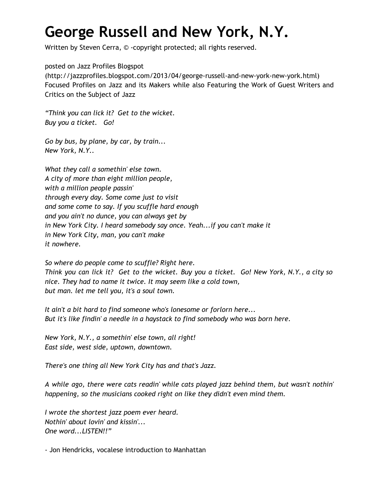## **George Russell and New York, N.Y.**

Written by Steven Cerra, © -copyright protected; all rights reserved.

posted on Jazz Profiles Blogspot

(http://jazzprofiles.blogspot.com/2013/04/george‐russell‐and‐new‐york‐new‐york.html) Focused Profiles on Jazz and its Makers while also Featuring the Work of Guest Writers and Critics on the Subject of Jazz

*"Think you can lick it? Get to the wicket. Buy you a ticket. Go!*

*Go by bus, by plane, by car, by train... New York, N.Y..*

*What they call a somethin' else town. A city of more than eight million people, with a million people passin' through every day. Some come just to visit and some come to say. If you scuffle hard enough and you ain't no dunce, you can always get by in New York City. I heard somebody say once. Yeah...if you can't make it in New York City, man, you can't make it nowhere.*

*So where do people come to scuffle? Right here.* Think you can lick it? Get to the wicket. Buy you a ticket. Go! New York, N.Y., a city so *nice. They had to name it twice. It may seem like a cold town, but man. let me tell you, it's a soul town.*

*It ain't a bit hard to find someone who's lonesome or forlorn here... But it's like findin' a needle in a haystack to find somebody who was born here.*

*New York, N.Y., a somethin' else town, all right! East side, west side, uptown, downtown.*

*There's one thing all New York City has and that's Jazz.*

*A while ago, there were cats readin' while cats played jazz behind them, but wasn't nothin' happening, so the musicians cooked right on like they didn't even mind them.*

*I wrote the shortest jazz poem ever heard. Nothin' about lovin' and kissin'... One word...LISTEN!!"*

‐ Jon Hendricks, vocalese introduction to Manhattan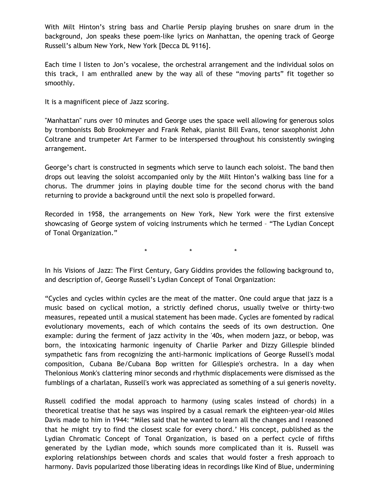With Milt Hinton's string bass and Charlie Persip playing brushes on snare drum in the background, Jon speaks these poem‐like lyrics on Manhattan, the opening track of George Russell's album New York, New York [Decca DL 9116].

Each time I listen to Jon's vocalese, the orchestral arrangement and the individual solos on this track, I am enthralled anew by the way all of these "moving parts" fit together so smoothly.

It is a magnificent piece of Jazz scoring.

"Manhattan" runs over 10 minutes and George uses the space well allowing for generous solos by trombonists Bob Brookmeyer and Frank Rehak, pianist Bill Evans, tenor saxophonist John Coltrane and trumpeter Art Farmer to be interspersed throughout his consistently swinging arrangement.

George's chart is constructed in segments which serve to launch each soloist. The band then drops out leaving the soloist accompanied only by the Milt Hinton's walking bass line for a chorus. The drummer joins in playing double time for the second chorus with the band returning to provide a background until the next solo is propelled forward.

Recorded in 1958, the arrangements on New York, New York were the first extensive showcasing of George system of voicing instruments which he termed – "The Lydian Concept of Tonal Organization."

\* \* \*

In his Visions of Jazz: The First Century, Gary Giddins provides the following background to, and description of, George Russell's Lydian Concept of Tonal Organization:

"Cycles and cycles within cycles are the meat of the matter. One could argue that jazz is a music based on cyclical motion, a strictly defined chorus, usually twelve or thirty‐two measures, repeated until a musical statement has been made. Cycles are fomented by radical evolutionary movements, each of which contains the seeds of its own destruction. One example: during the ferment of jazz activity in the '40s, when modern jazz, or bebop, was born, the intoxicating harmonic ingenuity of Charlie Parker and Dizzy Gillespie blinded sympathetic fans from recognizing the anti-harmonic implications of George Russell's modal composition, Cubana Be/Cubana Bop written for Gillespie's orchestra. In a day when Thelonious Monk's clattering minor seconds and rhythmic displacements were dismissed as the fumblings of a charlatan, Russell's work was appreciated as something of a sui generis novelty.

Russell codified the modal approach to harmony (using scales instead of chords) in a theoretical treatise that he says was inspired by a casual remark the eighteen‐year‐old Miles Davis made to him in 1944: "Miles said that he wanted to learn all the changes and I reasoned that he might try to find the closest scale for every chord.' His concept, published as the Lydian Chromatic Concept of Tonal Organization, is based on a perfect cycle of fifths generated by the Lydian mode, which sounds more complicated than it is. Russell was exploring relationships between chords and scales that would foster a fresh approach to harmony. Davis popularized those liberating ideas in recordings like Kind of Blue, undermining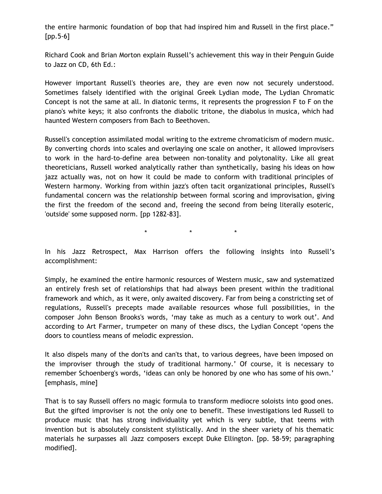the entire harmonic foundation of bop that had inspired him and Russell in the first place." [pp.5‐6]

Richard Cook and Brian Morton explain Russell's achievement this way in their Penguin Guide to Jazz on CD, 6th Ed.:

However important Russell's theories are, they are even now not securely understood. Sometimes falsely identified with the original Greek Lydian mode, The Lydian Chromatic Concept is not the same at all. In diatonic terms, it represents the progression F to F on the piano's white keys; it also confronts the diabolic tritone, the diabolus in musica, which had haunted Western composers from Bach to Beethoven.

Russell's conception assimilated modal writing to the extreme chromaticism of modern music. By converting chords into scales and overlaying one scale on another, it allowed improvisers to work in the hard‐to‐define area between non‐tonality and polytonality. Like all great theoreticians, Russell worked analytically rather than synthetically, basing his ideas on how jazz actually was, not on how it could be made to conform with traditional principles of Western harmony. Working from within jazz's often tacit organizational principles, Russell's fundamental concern was the relationship between formal scoring and improvisation, giving the first the freedom of the second and, freeing the second from being literally esoteric, 'outside' some supposed norm. [pp 1282‐83].

\* \* \*

In his Jazz Retrospect, Max Harrison offers the following insights into Russell's accomplishment:

Simply, he examined the entire harmonic resources of Western music, saw and systematized an entirely fresh set of relationships that had always been present within the traditional framework and which, as it were, only awaited discovery. Far from being a constricting set of regulations, Russell's precepts made available resources whose full possibilities, in the composer John Benson Brooks's words, 'may take as much as a century to work out'. And according to Art Farmer, trumpeter on many of these discs, the Lydian Concept 'opens the doors to countless means of melodic expression.

It also dispels many of the don'ts and can'ts that, to various degrees, have been imposed on the improviser through the study of traditional harmony.' Of course, it is necessary to remember Schoenberg's words, 'ideas can only be honored by one who has some of his own.' [emphasis, mine]

That is to say Russell offers no magic formula to transform mediocre soloists into good ones. But the gifted improviser is not the only one to benefit. These investigations led Russell to produce music that has strong individuality yet which is very subtle, that teems with invention but is absolutely consistent stylistically. And in the sheer variety of his thematic materials he surpasses all Jazz composers except Duke Ellington. [pp. 58‐59; paragraphing modified].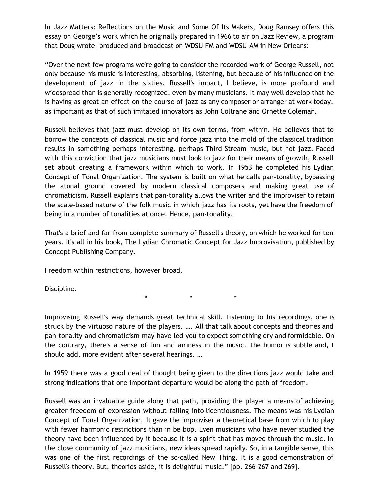In Jazz Matters: Reflections on the Music and Some Of Its Makers, Doug Ramsey offers this essay on George's work which he originally prepared in 1966 to air on Jazz Review, a program that Doug wrote, produced and broadcast on WDSU‐FM and WDSU‐AM in New Orleans:

"Over the next few programs we're going to consider the recorded work of George Russell, not only because his music is interesting, absorbing, listening, but because of his influence on the development of jazz in the sixties. Russell's impact, I believe, is more profound and widespread than is generally recognized, even by many musicians. It may well develop that he is having as great an effect on the course of jazz as any composer or arranger at work today, as important as that of such imitated innovators as John Coltrane and Ornette Coleman.

Russell believes that jazz must develop on its own terms, from within. He believes that to borrow the concepts of classical music and force jazz into the mold of the classical tradition results in something perhaps interesting, perhaps Third Stream music, but not jazz. Faced with this conviction that jazz musicians must look to jazz for their means of growth, Russell set about creating a framework within which to work. In 1953 he completed his Lydian Concept of Tonal Organization. The system is built on what he calls pan‐tonality, bypassing the atonal ground covered by modern classical composers and making great use of chromaticism. Russell explains that pan‐tonality allows the writer and the improviser to retain the scale‐based nature of the folk music in which jazz has its roots, yet have the freedom of being in a number of tonalities at once. Hence, pan-tonality.

That's a brief and far from complete summary of Russell's theory, on which he worked for ten years. It's all in his book, The Lydian Chromatic Concept for Jazz Improvisation, published by Concept Publishing Company.

Freedom within restrictions, however broad.

Discipline.

\* \* \*

Improvising Russell's way demands great technical skill. Listening to his recordings, one is struck by the virtuoso nature of the players. …. All that talk about concepts and theories and pan‐tonality and chromaticism may have led you to expect something dry and formidable. On the contrary, there's a sense of fun and airiness in the music. The humor is subtle and, I should add, more evident after several hearings. …

In 1959 there was a good deal of thought being given to the directions jazz would take and strong indications that one important departure would be along the path of freedom.

Russell was an invaluable guide along that path, providing the player a means of achieving greater freedom of expression without falling into licentiousness. The means was his Lydian Concept of Tonal Organization. It gave the improviser a theoretical base from which to play with fewer harmonic restrictions than in be bop. Even musicians who have never studied the theory have been influenced by it because it is a spirit that has moved through the music. In the close community of jazz musicians, new ideas spread rapidly. So, in a tangible sense, this was one of the first recordings of the so-called New Thing. It is a good demonstration of Russell's theory. But, theories aside, it is delightful music." [pp. 266‐267 and 269].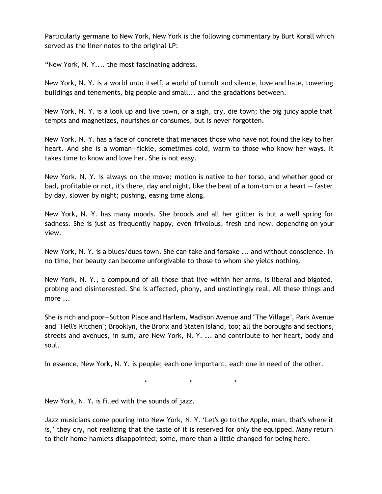Particularly germane to New York, New York is the following commentary by Burt Korall which served as the liner notes to the original LP:

"New York, N. Y.... the most fascinating address.

New York, N. Y. is a world unto itself, a world of tumult and silence, love and hate, towering buildings and tenements, big people and small... and the gradations between.

New York, N. Y. is a look up and live town, or a sigh, cry, die town; the big juicy apple that tempts and magnetizes, nourishes or consumes, but is never forgotten.

New York, N. Y. has a face of concrete that menaces those who have not found the key to her heart. And she is a woman—fickle, sometimes cold, warm to those who know her ways. It takes time to know and love her. She is not easy.

New York, N. Y. is always on the move; motion is native to her torso, and whether good or bad, profitable or not, it's there, day and night, like the beat of a tom-tom or a heart – faster by day, slower by night; pushing, easing time along.

New York, N. Y. has many moods. She broods and all her glitter is but a well spring for sadness. She is just as frequently happy, even frivolous, fresh and new, depending on your view.

New York, N. Y. is a blues/dues town. She can take and forsake ... and without conscience. In no time, her beauty can become unforgivable to those to whom she yields nothing.

New York, N. Y., a compound of all those that live within her arms, is liberal and bigoted, probing and disinterested. She is affected, phony, and unstintingly real. All these things and more ...

She is rich and poor—Sutton Place and Harlem, Madison Avenue and "The Village", Park Avenue and "Hell's Kitchen"; Brooklyn, the Bronx and Staten Island, too; all the boroughs and sections, streets and avenues, in sum, are New York, N. Y. ... and contribute to her heart, body and soul.

In essence, New York, N. Y. is people; each one important, each one in need of the other.

\* \* \*

New York, N. Y. is filled with the sounds of jazz.

Jazz musicians come pouring into New York, N. Y. 'Let's go to the Apple, man, that's where it is,' they cry, not realizing that the taste of it is reserved for only the equipped. Many return to their home hamlets disappointed; some, more than a little changed for being here.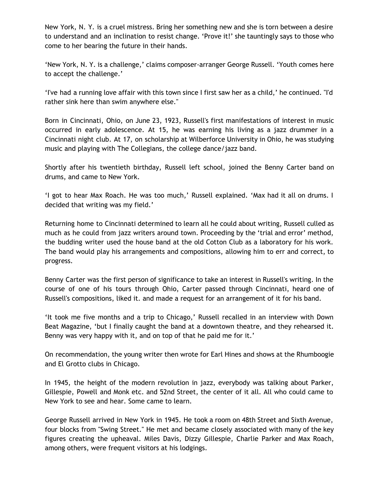New York, N. Y. is a cruel mistress. Bring her something new and she is torn between a desire to understand and an inclination to resist change. 'Prove it!' she tauntingly says to those who come to her bearing the future in their hands.

'New York, N. Y. is a challenge,' claims composer‐arranger George Russell. 'Youth comes here to accept the challenge.'

'I've had a running love affair with this town since I first saw her as a child,' he continued. "I'd rather sink here than swim anywhere else."

Born in Cincinnati, Ohio, on June 23, 1923, Russell's first manifestations of interest in music occurred in early adolescence. At 15, he was earning his living as a jazz drummer in a Cincinnati night club. At 17, on scholarship at Wilberforce University in Ohio, he was studying music and playing with The Collegians, the college dance/jazz band.

Shortly after his twentieth birthday, Russell left school, joined the Benny Carter band on drums, and came to New York.

'I got to hear Max Roach. He was too much,' Russell explained. 'Max had it all on drums. I decided that writing was my field.'

Returning home to Cincinnati determined to learn all he could about writing, Russell culled as much as he could from jazz writers around town. Proceeding by the 'trial and error' method, the budding writer used the house band at the old Cotton Club as a laboratory for his work. The band would play his arrangements and compositions, allowing him to err and correct, to progress.

Benny Carter was the first person of significance to take an interest in Russell's writing. In the course of one of his tours through Ohio, Carter passed through Cincinnati, heard one of Russell's compositions, liked it. and made a request for an arrangement of it for his band.

'It took me five months and a trip to Chicago,' Russell recalled in an interview with Down Beat Magazine, 'but I finally caught the band at a downtown theatre, and they rehearsed it. Benny was very happy with it, and on top of that he paid me for it.'

On recommendation, the young writer then wrote for Earl Hines and shows at the Rhumboogie and El Grotto clubs in Chicago.

In 1945, the height of the modern revolution in jazz, everybody was talking about Parker, Gillespie, Powell and Monk etc. and 52nd Street, the center of it all. All who could came to New York to see and hear. Some came to learn.

George Russell arrived in New York in 1945. He took a room on 48th Street and Sixth Avenue, four blocks from "Swing Street." He met and became closely associated with many of the key figures creating the upheaval. Miles Davis, Dizzy Gillespie, Charlie Parker and Max Roach, among others, were frequent visitors at his lodgings.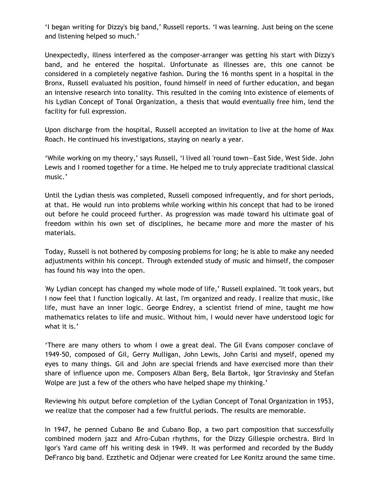'I began writing for Dizzy's big band,' Russell reports. 'I was learning. Just being on the scene and listening helped so much.'

Unexpectedly, illness interfered as the composer‐arranger was getting his start with Dizzy's band, and he entered the hospital. Unfortunate as illnesses are, this one cannot be considered in a completely negative fashion. During the 16 months spent in a hospital in the Bronx, Russell evaluated his position, found himself in need of further education, and began an intensive research into tonality. This resulted in the coming into existence of elements of his Lydian Concept of Tonal Organization, a thesis that would eventually free him, lend the facility for full expression.

Upon discharge from the hospital, Russell accepted an invitation to live at the home of Max Roach. He continued his investigations, staying on nearly a year.

'While working on my theory,' says Russell, 'I lived all 'round town—East Side, West Side. John Lewis and I roomed together for a time. He helped me to truly appreciate traditional classical music.'

Until the Lydian thesis was completed, Russell composed infrequently, and for short periods, at that. He would run into problems while working within his concept that had to be ironed out before he could proceed further. As progression was made toward his ultimate goal of freedom within his own set of disciplines, he became more and more the master of his materials.

Today, Russell is not bothered by composing problems for long; he is able to make any needed adjustments within his concept. Through extended study of music and himself, the composer has found his way into the open.

'My Lydian concept has changed my whole mode of life,' Russell explained. "It took years, but I now feel that I function logically. At last, I'm organized and ready. I realize that music, like life, must have an inner logic. George Endrey, a scientist friend of mine, taught me how mathematics relates to life and music. Without him, I would never have understood logic for what it is.'

'There are many others to whom I owe a great deal. The Gil Evans composer conclave of 1949‐50, composed of Gil, Gerry Mulligan, John Lewis, John Carisi and myself, opened my eyes to many things. Gil and John are special friends and have exercised more than their share of influence upon me. Composers Alban Berg, Bela Bartok, Igor Stravinsky and Stefan Wolpe are just a few of the others who have helped shape my thinking.'

Reviewing his output before completion of the Lydian Concept of Tonal Organization in 1953, we realize that the composer had a few fruitful periods. The results are memorable.

In 1947, he penned Cubano Be and Cubano Bop, a two part composition that successfully combined modern jazz and Afro‐Cuban rhythms, for the Dizzy Gillespie orchestra. Bird In Igor's Yard came off his writing desk in 1949. It was performed and recorded by the Buddy DeFranco big band. Ezzthetic and Odjenar were created for Lee Konitz around the same time.